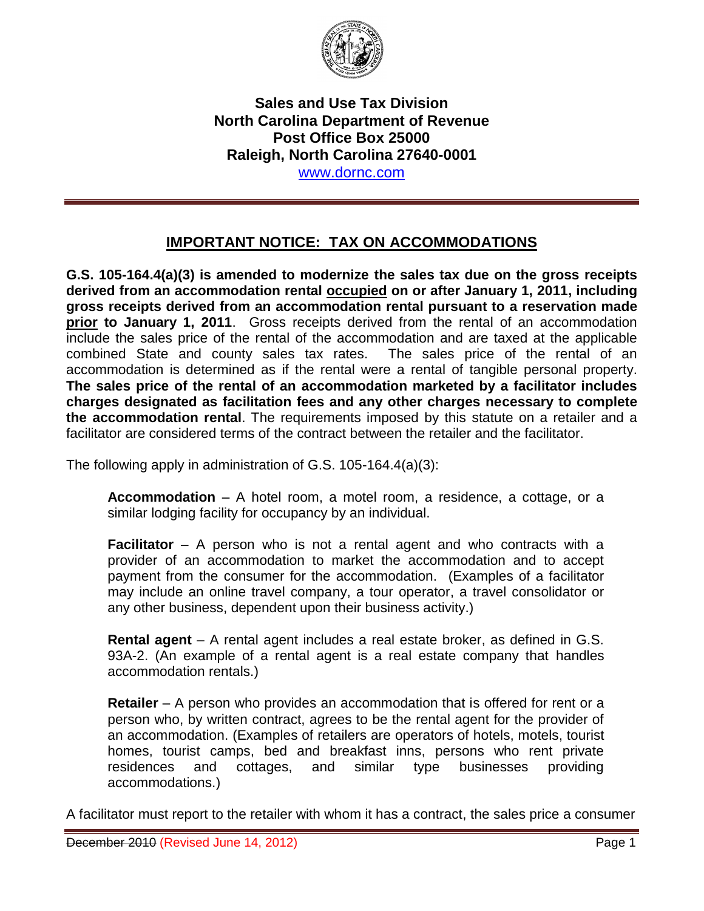

**Sales and Use Tax Division North Carolina Department of Revenue Post Office Box 25000 Raleigh, North Carolina 27640-0001**  www.dornc.com

## **IMPORTANT NOTICE: TAX ON ACCOMMODATIONS**

**G.S. 105-164.4(a)(3) is amended to modernize the sales tax due on the gross receipts derived from an accommodation rental occupied on or after January 1, 2011, including gross receipts derived from an accommodation rental pursuant to a reservation made prior to January 1, 2011**. Gross receipts derived from the rental of an accommodation include the sales price of the rental of the accommodation and are taxed at the applicable combined State and county sales tax rates. The sales price of the rental of an accommodation is determined as if the rental were a rental of tangible personal property. **The sales price of the rental of an accommodation marketed by a facilitator includes charges designated as facilitation fees and any other charges necessary to complete the accommodation rental**. The requirements imposed by this statute on a retailer and a facilitator are considered terms of the contract between the retailer and the facilitator.

The following apply in administration of G.S. 105-164.4(a)(3):

**Accommodation** – A hotel room, a motel room, a residence, a cottage, or a similar lodging facility for occupancy by an individual.

**Facilitator** – A person who is not a rental agent and who contracts with a provider of an accommodation to market the accommodation and to accept payment from the consumer for the accommodation. (Examples of a facilitator may include an online travel company, a tour operator, a travel consolidator or any other business, dependent upon their business activity.)

**Rental agent** – A rental agent includes a real estate broker, as defined in G.S. 93A-2. (An example of a rental agent is a real estate company that handles accommodation rentals.)

**Retailer** – A person who provides an accommodation that is offered for rent or a person who, by written contract, agrees to be the rental agent for the provider of an accommodation. (Examples of retailers are operators of hotels, motels, tourist homes, tourist camps, bed and breakfast inns, persons who rent private residences and cottages, and similar type businesses providing accommodations.)

A facilitator must report to the retailer with whom it has a contract, the sales price a consumer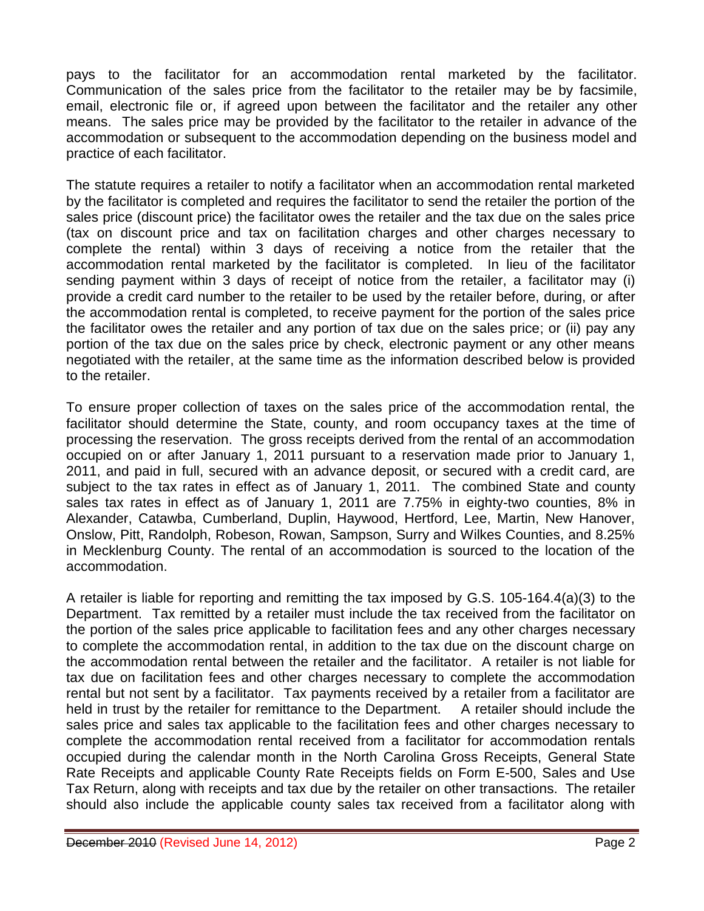pays to the facilitator for an accommodation rental marketed by the facilitator. Communication of the sales price from the facilitator to the retailer may be by facsimile, email, electronic file or, if agreed upon between the facilitator and the retailer any other means. The sales price may be provided by the facilitator to the retailer in advance of the accommodation or subsequent to the accommodation depending on the business model and practice of each facilitator.

The statute requires a retailer to notify a facilitator when an accommodation rental marketed by the facilitator is completed and requires the facilitator to send the retailer the portion of the sales price (discount price) the facilitator owes the retailer and the tax due on the sales price (tax on discount price and tax on facilitation charges and other charges necessary to complete the rental) within 3 days of receiving a notice from the retailer that the accommodation rental marketed by the facilitator is completed. In lieu of the facilitator sending payment within 3 days of receipt of notice from the retailer, a facilitator may (i) provide a credit card number to the retailer to be used by the retailer before, during, or after the accommodation rental is completed, to receive payment for the portion of the sales price the facilitator owes the retailer and any portion of tax due on the sales price; or (ii) pay any portion of the tax due on the sales price by check, electronic payment or any other means negotiated with the retailer, at the same time as the information described below is provided to the retailer.

To ensure proper collection of taxes on the sales price of the accommodation rental, the facilitator should determine the State, county, and room occupancy taxes at the time of processing the reservation. The gross receipts derived from the rental of an accommodation occupied on or after January 1, 2011 pursuant to a reservation made prior to January 1, 2011, and paid in full, secured with an advance deposit, or secured with a credit card, are subject to the tax rates in effect as of January 1, 2011. The combined State and county sales tax rates in effect as of January 1, 2011 are 7.75% in eighty-two counties, 8% in Alexander, Catawba, Cumberland, Duplin, Haywood, Hertford, Lee, Martin, New Hanover, Onslow, Pitt, Randolph, Robeson, Rowan, Sampson, Surry and Wilkes Counties, and 8.25% in Mecklenburg County. The rental of an accommodation is sourced to the location of the accommodation.

A retailer is liable for reporting and remitting the tax imposed by G.S. 105-164.4(a)(3) to the Department. Tax remitted by a retailer must include the tax received from the facilitator on the portion of the sales price applicable to facilitation fees and any other charges necessary to complete the accommodation rental, in addition to the tax due on the discount charge on the accommodation rental between the retailer and the facilitator. A retailer is not liable for tax due on facilitation fees and other charges necessary to complete the accommodation rental but not sent by a facilitator. Tax payments received by a retailer from a facilitator are held in trust by the retailer for remittance to the Department. A retailer should include the sales price and sales tax applicable to the facilitation fees and other charges necessary to complete the accommodation rental received from a facilitator for accommodation rentals occupied during the calendar month in the North Carolina Gross Receipts, General State Rate Receipts and applicable County Rate Receipts fields on Form E-500, Sales and Use Tax Return, along with receipts and tax due by the retailer on other transactions. The retailer should also include the applicable county sales tax received from a facilitator along with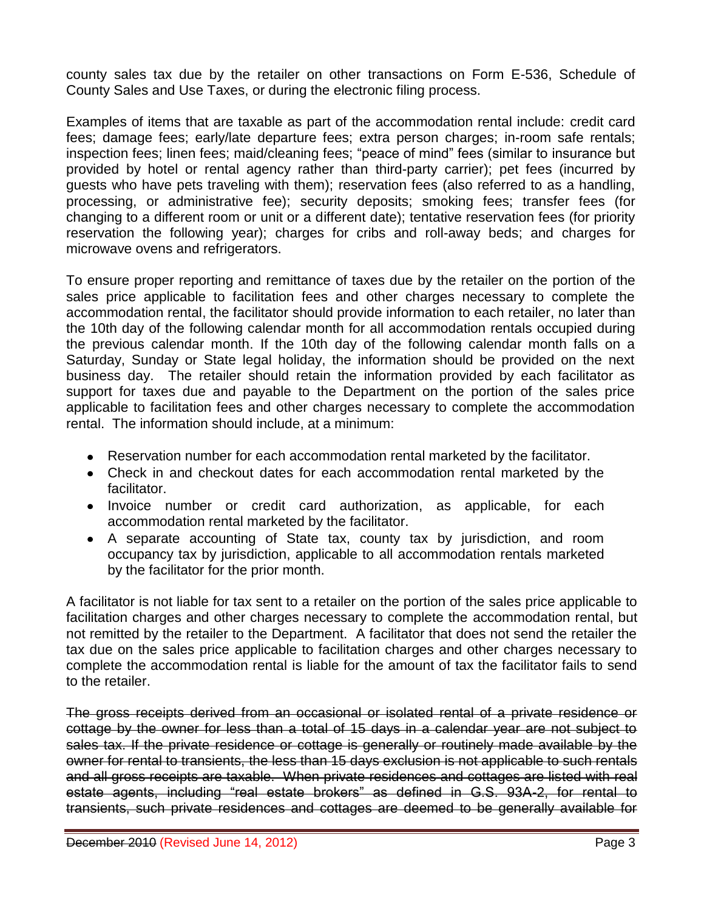county sales tax due by the retailer on other transactions on Form E-536, Schedule of County Sales and Use Taxes, or during the electronic filing process.

Examples of items that are taxable as part of the accommodation rental include: credit card fees; damage fees; early/late departure fees; extra person charges; in-room safe rentals; inspection fees; linen fees; maid/cleaning fees; "peace of mind" fees (similar to insurance but provided by hotel or rental agency rather than third-party carrier); pet fees (incurred by guests who have pets traveling with them); reservation fees (also referred to as a handling, processing, or administrative fee); security deposits; smoking fees; transfer fees (for changing to a different room or unit or a different date); tentative reservation fees (for priority reservation the following year); charges for cribs and roll-away beds; and charges for microwave ovens and refrigerators.

To ensure proper reporting and remittance of taxes due by the retailer on the portion of the sales price applicable to facilitation fees and other charges necessary to complete the accommodation rental, the facilitator should provide information to each retailer, no later than the 10th day of the following calendar month for all accommodation rentals occupied during the previous calendar month. If the 10th day of the following calendar month falls on a Saturday, Sunday or State legal holiday, the information should be provided on the next business day. The retailer should retain the information provided by each facilitator as support for taxes due and payable to the Department on the portion of the sales price applicable to facilitation fees and other charges necessary to complete the accommodation rental. The information should include, at a minimum:

- Reservation number for each accommodation rental marketed by the facilitator.
- Check in and checkout dates for each accommodation rental marketed by the facilitator.
- Invoice number or credit card authorization, as applicable, for each accommodation rental marketed by the facilitator.
- A separate accounting of State tax, county tax by jurisdiction, and room occupancy tax by jurisdiction, applicable to all accommodation rentals marketed by the facilitator for the prior month.

A facilitator is not liable for tax sent to a retailer on the portion of the sales price applicable to facilitation charges and other charges necessary to complete the accommodation rental, but not remitted by the retailer to the Department. A facilitator that does not send the retailer the tax due on the sales price applicable to facilitation charges and other charges necessary to complete the accommodation rental is liable for the amount of tax the facilitator fails to send to the retailer.

The gross receipts derived from an occasional or isolated rental of a private residence or cottage by the owner for less than a total of 15 days in a calendar year are not subject to sales tax. If the private residence or cottage is generally or routinely made available by the owner for rental to transients, the less than 15 days exclusion is not applicable to such rentals and all gross receipts are taxable. When private residences and cottages are listed with real estate agents, including "real estate brokers" as defined in G.S. 93A-2, for rental to transients, such private residences and cottages are deemed to be generally available for